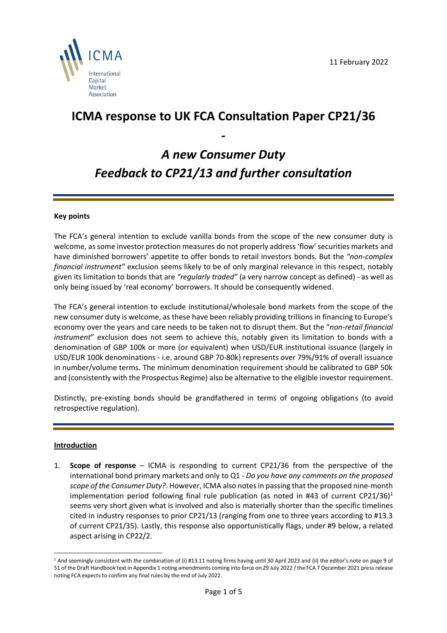

## **ICMA response to UK FCA Consultation Paper CP21/36**

# *A new Consumer Duty Feedback to CP21/13 and further consultation*

**-**

### **Key points**

The FCA's general intention to exclude vanilla bonds from the scope of the new consumer duty is welcome, assome investor protection measures do not properly address 'flow' securities markets and have diminished borrowers' appetite to offer bonds to retail investors bonds. But the *"non-complex financial instrument"* exclusion seems likely to be of only marginal relevance in this respect, notably given its limitation to bonds that are *"regularly traded"* (a very narrow concept as defined) - as well as only being issued by 'real economy' borrowers. It should be consequently widened.

The FCA's general intention to exclude institutional/wholesale bond markets from the scope of the new consumer duty is welcome, as these have been reliably providing trillions in financing to Europe's economy over the years and care needs to be taken not to disrupt them. But the "*non-retail financial instrument*" exclusion does not seem to achieve this, notably given its limitation to bonds with a denomination of GBP 100k or more (or equivalent) when USD/EUR institutional issuance (largely in USD/EUR 100k denominations - i.e. around GBP 70-80k) represents over 79%/91% of overall issuance in number/volume terms. The minimum denomination requirement should be calibrated to GBP 50k and (consistently with the Prospectus Regime) also be alternative to the eligible investor requirement.

Distinctly, pre-existing bonds should be grandfathered in terms of ongoing obligations (to avoid retrospective regulation).

#### **Introduction**

1. **Scope of response** – ICMA is responding to current CP21/36 from the perspective of the international bond primary markets and only to Q1 - *Do you have any comments on the proposed scope of the Consumer Duty?*. However, ICMA also notes in passing that the proposed nine-month implementation period following final rule publication (as noted in #43 of current CP21/36)<sup>1</sup> seems very short given what is involved and also is materially shorter than the specific timelines cited in industry responses to prior CP21/13 (ranging from one to three years according to #13.3 of current CP21/35). Lastly, this response also opportunistically flags, under #9 below, a related aspect arising in CP22/2.

<sup>&</sup>lt;sup>1</sup> And seemingly consistent with the combination of (i) #13.11 noting firms having until 30 April 2023 and (ii) the editor's note on page 9 of 51 of the Draft Handbook text in Appendix 1 noting amendments coming into force on 29 July 2022 / the FCA 7 December 2021 press release noting FCA expects to confirm any final rules by the end of July 2022.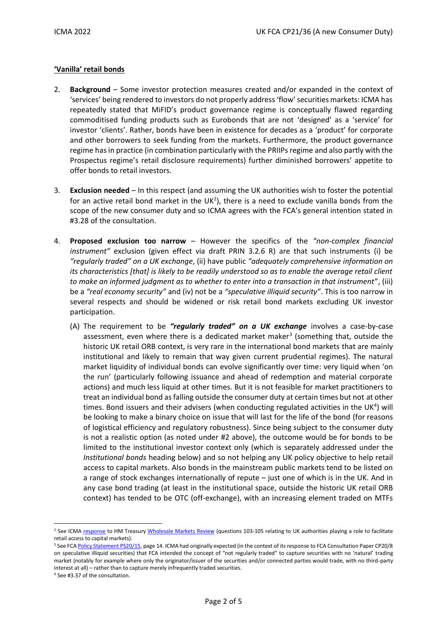### **'Vanilla' retail bonds**

- 2. **Background** Some investor protection measures created and/or expanded in the context of 'services' being rendered to investors do not properly address 'flow' securities markets: ICMA has repeatedly stated that MiFID's product governance regime is conceptually flawed regarding commoditised funding products such as Eurobonds that are not 'designed' as a 'service' for investor 'clients'. Rather, bonds have been in existence for decades as a 'product' for corporate and other borrowers to seek funding from the markets. Furthermore, the product governance regime hasin practice (in combination particularly with the PRIIPs regime and also partly with the Prospectus regime's retail disclosure requirements) further diminished borrowers' appetite to offer bonds to retail investors.
- 3. **Exclusion needed** In this respect (and assuming the UK authorities wish to foster the potential for an active retail bond market in the  $UK^2$ ), there is a need to exclude vanilla bonds from the scope of the new consumer duty and so ICMA agrees with the FCA's general intention stated in #3.28 of the consultation.
- 4. **Proposed exclusion too narrow** However the specifics of the *"non-complex financial instrument"* exclusion (given effect via draft PRIN 3.2.6 R) are that such instruments (i) be *"regularly traded" on a UK exchange*, (ii) have public *"adequately comprehensive information on its characteristics [that] is likely to be readily understood so as to enable the average retail client to make an informed judgment as to whether to enter into a transaction in that instrument"*, (iii) be a *"real economy security"* and (iv) not be a *"speculative illiquid security"*. This is too narrow in several respects and should be widened or risk retail bond markets excluding UK investor participation.
	- (A) The requirement to be *"regularly traded" on a UK exchange* involves a case-by-case assessment, even where there is a dedicated market maker<sup>3</sup> (something that, outside the historic UK retail ORB context, is very rare in the international bond markets that are mainly institutional and likely to remain that way given current prudential regimes). The natural market liquidity of individual bonds can evolve significantly over time: very liquid when 'on the run' (particularly following issuance and ahead of redemption and material corporate actions) and much less liquid at other times. But it is not feasible for market practitioners to treat an individual bond as falling outside the consumer duty at certain times but not at other times. Bond issuers and their advisers (when conducting regulated activities in the UK<sup>4</sup>) will be looking to make a binary choice on issue that will last for the life of the bond (for reasons of logistical efficiency and regulatory robustness). Since being subject to the consumer duty is not a realistic option (as noted under #2 above), the outcome would be for bonds to be limited to the institutional investor context only (which is separately addressed under the *Institutional bonds* heading below) and so not helping any UK policy objective to help retail access to capital markets. Also bonds in the mainstream public markets tend to be listed on a range of stock exchanges internationally of repute – just one of which is in the UK. And in any case bond trading (at least in the institutional space, outside the historic UK retail ORB context) has tended to be OTC (off-exchange), with an increasing element traded on MTFs

<sup>&</sup>lt;sup>2</sup> See ICMA [response](https://www.icmagroup.org/assets/documents/Regulatory/MiFID-Review/HMT-WMR-CP-Response-Submission-version-24-Sep-2021-ICMA-270921.pdf) to HM Treasur[y Wholesale Markets Review](https://assets.publishing.service.gov.uk/government/uploads/system/uploads/attachment_data/file/998165/WMR_condoc_FINAL_OFFICIAL_SENSITIVE_.pdf) (questions 103-105 relating to UK authorities playing a role to facilitate retail access to capital markets).

<sup>&</sup>lt;sup>3</sup> See FC[A Policy Statement PS20/15,](https://www.fca.org.uk/publication/policy/ps20-15.pdf) page 14. ICMA had originally expected (in the context of its response to FCA Consultation Paper CP20/8 on speculative illiquid securities) that FCA intended the concept of "not regularly traded" to capture securities with no 'natural' trading market (notably for example where only the originator/issuer of the securities and/or connected parties would trade, with no third-party interest at all) – rather than to capture merely infrequently traded securities.

<sup>4</sup> See #3.37 of the consultation.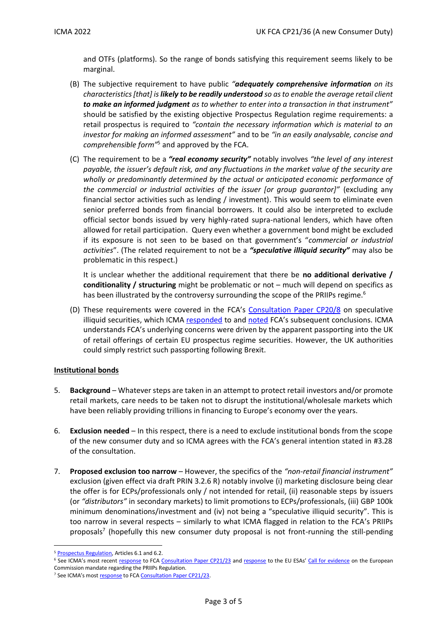and OTFs (platforms). So the range of bonds satisfying this requirement seems likely to be marginal.

- (B) The subjective requirement to have public *"adequately comprehensive information on its characteristics [that] is likely to be readily understood so as to enable the average retail client to make an informed judgment as to whether to enter into a transaction in that instrument"* should be satisfied by the existing objective Prospectus Regulation regime requirements: a retail prospectus is required to *"contain the necessary information which is material to an investor for making an informed assessment"* and to be *"in an easily analysable, concise and comprehensible form"*<sup>5</sup> and approved by the FCA.
- (C) The requirement to be a *"real economy security"* notably involves *"the level of any interest payable, the issuer's default risk, and any fluctuations in the market value of the security are wholly or predominantly determined by the actual or anticipated economic performance of the commercial or industrial activities of the issuer [or group guarantor]"* (excluding any financial sector activities such as lending / investment). This would seem to eliminate even senior preferred bonds from financial borrowers. It could also be interpreted to exclude official sector bonds issued by very highly-rated supra-national lenders, which have often allowed for retail participation. Query even whether a government bond might be excluded if its exposure is not seen to be based on that government's "*commercial or industrial activities*". (The related requirement to not be a *"speculative illiquid security"* may also be problematic in this respect.)

It is unclear whether the additional requirement that there be **no additional derivative / conditionality / structuring** might be problematic or not – much will depend on specifics as has been illustrated by the controversy surrounding the scope of the PRIIPs regime.<sup>6</sup>

(D) These requirements were covered in the FCA's Consultation [Paper CP20/8](https://www.fca.org.uk/publication/consultation/cp20-8.pdf) on speculative illiquid securities, which ICMA [responded](https://www.icmagroup.org/assets/documents/Regulatory/Primary-Markets/FCA-mini-bond-CP-2020-ICMA-response-021020.pdfhttps:/www.icmagroup.org/assets/documents/Regulatory/Primary-Markets/FCA-mini-bond-CP-2020-ICMA-respohttps:/www.icmagroup.org/assets/documents/Regulatory/Primary-Markets/FCA-mini-bond-CP-2020-ICMA-response-021020.pdfnse-021020.pdf) to an[d noted](https://www.icmagroup.org/assets/documents/Regulatory/Quarterly_Reports/Articles/QR-article-FCA-retail-protection-speculative-illiquid-securities-150121.pdf) FCA's subsequent conclusions. ICMA understands FCA's underlying concerns were driven by the apparent passporting into the UK of retail offerings of certain EU prospectus regime securities. However, the UK authorities could simply restrict such passporting following Brexit.

#### **Institutional bonds**

- 5. **Background** Whatever steps are taken in an attempt to protect retail investors and/or promote retail markets, care needs to be taken not to disrupt the institutional/wholesale markets which have been reliably providing trillions in financing to Europe's economy over the years.
- 6. **Exclusion needed** In this respect, there is a need to exclude institutional bonds from the scope of the new consumer duty and so ICMA agrees with the FCA's general intention stated in #3.28 of the consultation.
- 7. **Proposed exclusion too narrow** However, the specifics of the *"non-retail financial instrument"* exclusion (given effect via draft PRIN 3.2.6 R) notably involve (i) marketing disclosure being clear the offer is for ECPs/professionals only / not intended for retail, (ii) reasonable steps by issuers (or *"distributors"* in secondary markets) to limit promotions to ECPs/professionals, (iii) GBP 100k minimum denominations/investment and (iv) not being a "speculative illiquid security". This is too narrow in several respects – similarly to what ICMA flagged in relation to the FCA's PRIIPs proposals<sup>7</sup> (hopefully this new consumer duty proposal is not front-running the still-pending

<sup>&</sup>lt;sup>5</sup> [Prospectus Regulation,](https://eur-lex.europa.eu/legal-content/EN/TXT/PDF/?uri=CELEX:32017R1129&from=EN) Articles 6.1 and 6.2.

<sup>&</sup>lt;sup>6</sup> See ICMA's most recent [response](https://www.icmagroup.org/assets/documents/Regulatory/Primary-Markets/ICMA-response-to-FCA-PRIIPs-2021-300921.pdf) to FCA [Consultation Paper CP21/23](https://www.fca.org.uk/publication/consultation/cp21-23.pdf) an[d response](https://www.icmagroup.org/assets/documents/Regulatory/Primary-Markets/ICMA-response-to-ESAs-Call-for-evidence-on-the-European-Commission-mandate-regarding-the-PRIIPs-Regulation-161221.pdf) to the EU ESAs' [Call for evidence](https://www.esma.europa.eu/sites/default/files/library/jc_2021_61_priips_call_for_evidence.pdf) on the European Commission mandate regarding the PRIIPs Regulation.

<sup>&</sup>lt;sup>7</sup> See ICMA's most [response](https://www.icmagroup.org/assets/documents/Regulatory/Primary-Markets/ICMA-response-to-FCA-PRIIPs-2021-300921.pdf) to FC[A Consultation Paper CP21/23.](https://www.fca.org.uk/publication/consultation/cp21-23.pdf)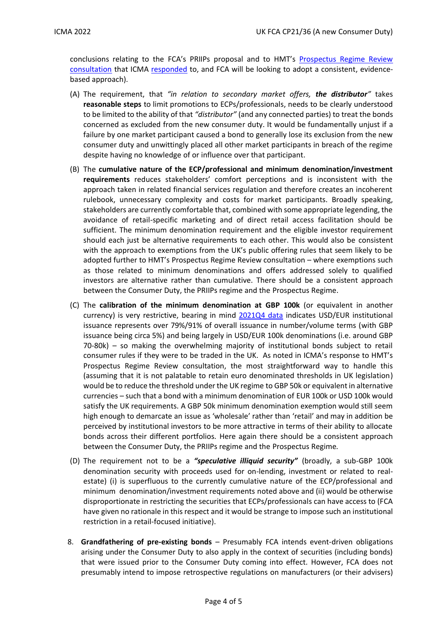conclusions relating to the FCA's PRIIPs proposal and to HMT's [Prospectus Regime Review](https://assets.publishing.service.gov.uk/government/uploads/system/uploads/attachment_data/file/999771/Consultation_on_the_UK_prospectus_regime.pdf)  [consultation](https://assets.publishing.service.gov.uk/government/uploads/system/uploads/attachment_data/file/999771/Consultation_on_the_UK_prospectus_regime.pdf) that ICMA [responded](https://www.icmagroup.org/assets/documents/Regulatory/Primary-Markets/ICMA-response-to-UK-HMT-Prospectus-Regulation-23-September-2021-230921.pdf) to, and FCA will be looking to adopt a consistent, evidencebased approach).

- (A) The requirement, that *"in relation to secondary market offers, the distributor"* takes **reasonable steps** to limit promotions to ECPs/professionals, needs to be clearly understood to be limited to the ability of that *"distributor"* (and any connected parties) to treat the bonds concerned as excluded from the new consumer duty. It would be fundamentally unjust if a failure by one market participant caused a bond to generally lose its exclusion from the new consumer duty and unwittingly placed all other market participants in breach of the regime despite having no knowledge of or influence over that participant.
- (B) The **cumulative nature of the ECP/professional and minimum denomination/investment requirements** reduces stakeholders' comfort perceptions and is inconsistent with the approach taken in related financial services regulation and therefore creates an incoherent rulebook, unnecessary complexity and costs for market participants. Broadly speaking, stakeholders are currently comfortable that, combined with some appropriate legending, the avoidance of retail-specific marketing and of direct retail access facilitation should be sufficient. The minimum denomination requirement and the eligible investor requirement should each just be alternative requirements to each other. This would also be consistent with the approach to exemptions from the UK's public offering rules that seem likely to be adopted further to HMT's Prospectus Regime Review consultation – where exemptions such as those related to minimum denominations and offers addressed solely to qualified investors are alternative rather than cumulative. There should be a consistent approach between the Consumer Duty, the PRIIPs regime and the Prospectus Regime.
- (C) The **calibration of the minimum denomination at GBP 100k** (or equivalent in another currency) is very restrictive, bearing in mind [2021Q4 data](https://www.icmagroup.org/assets/documents/Market-Info/Dealogic/Top-15-International-DCM-Volume-by-Currency-Q42021.pdf) indicates USD/EUR institutional issuance represents over 79%/91% of overall issuance in number/volume terms (with GBP issuance being circa 5%) and being largely in USD/EUR 100k denominations (i.e. around GBP 70-80k) – so making the overwhelming majority of institutional bonds subject to retail consumer rules if they were to be traded in the UK. As noted in ICMA's response to HMT's Prospectus Regime Review consultation, the most straightforward way to handle this (assuming that it is not palatable to retain euro denominated thresholds in UK legislation) would be to reduce the threshold under the UK regime to GBP 50k or equivalent in alternative currencies – such that a bond with a minimum denomination of EUR 100k or USD 100k would satisfy the UK requirements. A GBP 50k minimum denomination exemption would still seem high enough to demarcate an issue as 'wholesale' rather than 'retail' and may in addition be perceived by institutional investors to be more attractive in terms of their ability to allocate bonds across their different portfolios. Here again there should be a consistent approach between the Consumer Duty, the PRIIPs regime and the Prospectus Regime*.*
- (D) The requirement not to be a *"speculative illiquid security"* (broadly, a sub-GBP 100k denomination security with proceeds used for on-lending, investment or related to realestate) (i) is superfluous to the currently cumulative nature of the ECP/professional and minimum denomination/investment requirements noted above and (ii) would be otherwise disproportionate in restricting the securities that ECPs/professionals can have access to (FCA have given no rationale in this respect and it would be strange to impose such an institutional restriction in a retail-focused initiative).
- 8. **Grandfathering of pre-existing bonds** Presumably FCA intends event-driven obligations arising under the Consumer Duty to also apply in the context of securities (including bonds) that were issued prior to the Consumer Duty coming into effect. However, FCA does not presumably intend to impose retrospective regulations on manufacturers (or their advisers)